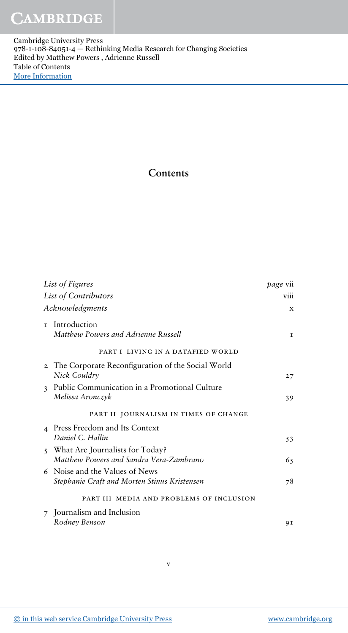Cambridge University Press 978-1-108-84051-4 — Rethinking Media Research for Changing Societies Edited by Matthew Powers , Adrienne Russell Table of Contents [More Information](www.cambridge.org/9781108840514)

## Contents

| List of Figures      |                                                                                | page vii |
|----------------------|--------------------------------------------------------------------------------|----------|
| List of Contributors |                                                                                | viii     |
| Acknowledgments      |                                                                                | X        |
|                      | <b>r</b> Introduction<br>Matthew Powers and Adrienne Russell                   | T.       |
|                      | PART I LIVING IN A DATAFIED WORLD                                              |          |
|                      | 2 The Corporate Reconfiguration of the Social World<br>Nick Couldry            | 27       |
|                      | 3 Public Communication in a Promotional Culture<br>Melissa Aronczyk            | 39       |
|                      | PART II JOURNALISM IN TIMES OF CHANGE                                          |          |
|                      | 4 Press Freedom and Its Context<br>Daniel C. Hallin                            | 53       |
|                      | 5 What Are Journalists for Today?<br>Matthew Powers and Sandra Vera-Zambrano   | 65       |
|                      | 6 Noise and the Values of News<br>Stephanie Craft and Morten Stinus Kristensen | 78       |
|                      | PART III MEDIA AND PROBLEMS OF INCLUSION                                       |          |
|                      | 7 Journalism and Inclusion                                                     |          |
|                      | Rodney Benson                                                                  | 91       |